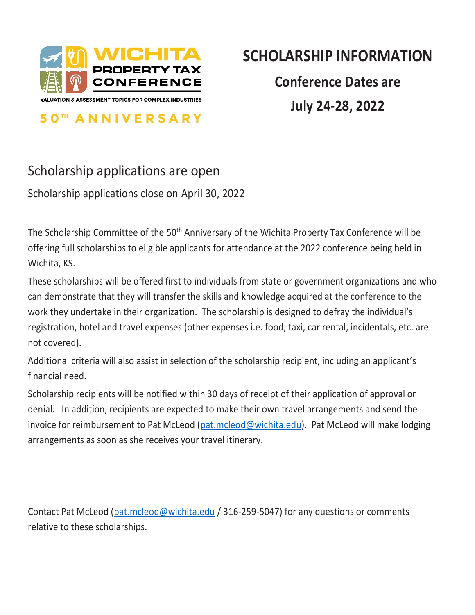

**50<sup>TH</sup> ANNIVERSARY** 

## **SCHOLARSHIP INFORMATION**

**Conference Dates are July 24-28, 2022**

## Scholarship applications are open

Scholarship applications close on April 30, 2022

The Scholarship Committee of the 50<sup>th</sup> Anniversary of the Wichita Property Tax Conference will be offering full scholarships to eligible applicants for attendance at the 2022 conference being held in Wichita, KS.

These scholarships will be offered first to individuals from state or government organizations and who can demonstrate that they will transfer the skills and knowledge acquired at the conference to the work they undertake in their organization. The scholarship is designed to defray the individual's registration, hotel and travel expenses (other expenses i.e. food, taxi, car rental, incidentals, etc. are not covered).

Additional criteria will also assist in selection of the scholarship recipient, including an applicant's financial need.

Scholarship recipients will be notified within 30 days of receipt of their application of approval or denial. In addition, recipients are expected to make their own travel arrangements and send the invoice for reimbursement to Pat McLeod [\(pat.mcleod@wichita.edu\)](mailto:pat.mcleod@wichita.edu). Pat McLeod will make lodging arrangements as soon as she receives your travel itinerary.

Contact Pat McLeod [\(pat.mcleod@wichita.edu](mailto:pat.mcleod@wichita.edu) / 316-259-5047) for any questions or comments relative to these scholarships.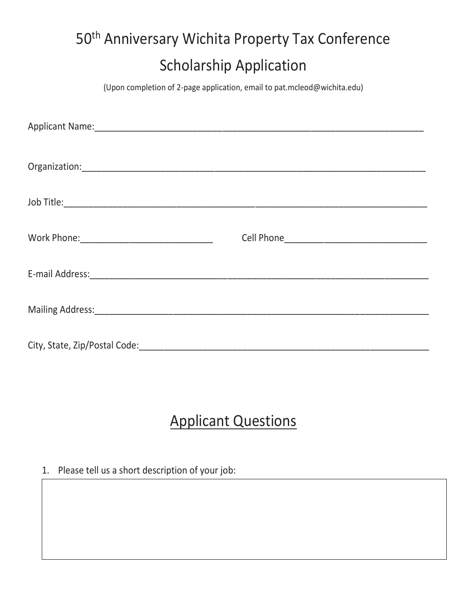## 50<sup>th</sup> Anniversary Wichita Property Tax Conference Scholarship Application

(Upon completion of 2-page application, email to pat.mcleod@wichita.edu)

## Applicant Questions

1. Please tell us a short description of your job: